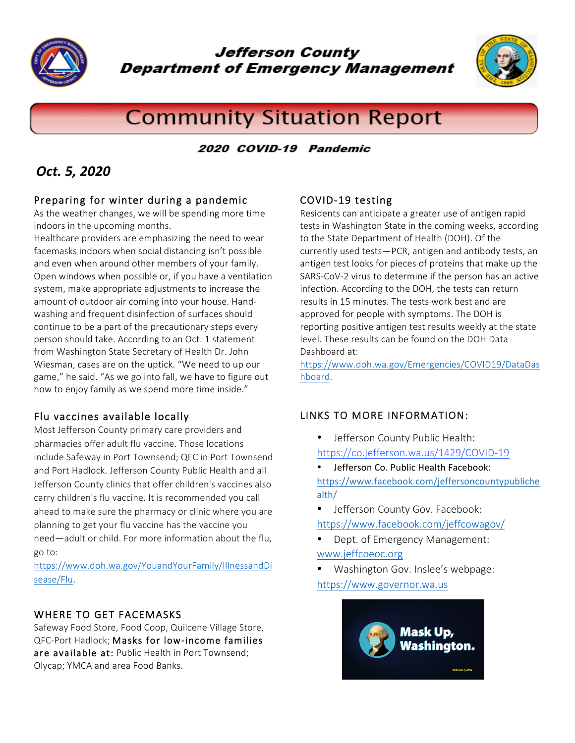

**Jefferson County Department of Emergency Management** 



# **Community Situation Report**

## 2020 COVID-19 Pandemic

# *Oct. 5, 2020*

## Preparing for winter during a pandemic

As the weather changes, we will be spending more time indoors in the upcoming months.

Healthcare providers are emphasizing the need to wear facemasks indoors when social distancing isn't possible and even when around other members of your family. Open windows when possible or, if you have a ventilation system, make appropriate adjustments to increase the amount of outdoor air coming into your house. Handwashing and frequent disinfection of surfaces should continue to be a part of the precautionary steps every person should take. According to an Oct. 1 statement from Washington State Secretary of Health Dr. John Wiesman, cases are on the uptick. "We need to up our game," he said. "As we go into fall, we have to figure out how to enjoy family as we spend more time inside."

#### Flu vaccines available locally

Most Jefferson County primary care providers and pharmacies offer adult flu vaccine. Those locations include Safeway in Port Townsend; QFC in Port Townsend and Port Hadlock. Jefferson County Public Health and all Jefferson County clinics that offer children's vaccines also carry children's flu vaccine. It is recommended you call ahead to make sure the pharmacy or clinic where you are planning to get your flu vaccine has the vaccine you need—adult or child. For more information about the flu, go to:

https://www.doh.wa.gov/YouandYourFamily/IllnessandDi sease/Flu.

# WHERE TO GET FACEMASKS

Safeway Food Store, Food Coop, Quilcene Village Store, QFC-Port Hadlock; Masks for low-income families are available at: Public Health in Port Townsend; Olycap; YMCA and area Food Banks.

#### COVID-19 testing

Residents can anticipate a greater use of antigen rapid tests in Washington State in the coming weeks, according to the State Department of Health (DOH). Of the currently used tests—PCR, antigen and antibody tests, an antigen test looks for pieces of proteins that make up the SARS-CoV-2 virus to determine if the person has an active infection. According to the DOH, the tests can return results in 15 minutes. The tests work best and are approved for people with symptoms. The DOH is reporting positive antigen test results weekly at the state level. These results can be found on the DOH Data Dashboard at:

https://www.doh.wa.gov/Emergencies/COVID19/DataDas hboard.

# LINKS TO MORE INFORMATION:

- Jefferson County Public Health: https://co.jefferson.wa.us/1429/COVID-19
- Jefferson Co. Public Health Facebook: https://www.facebook.com/jeffersoncountypubliche alth/
- Jefferson County Gov. Facebook: https://www.facebook.com/jeffcowagov/
- Dept. of Emergency Management: www.jeffcoeoc.org
- Washington Gov. Inslee's webpage: https://www.governor.wa.us